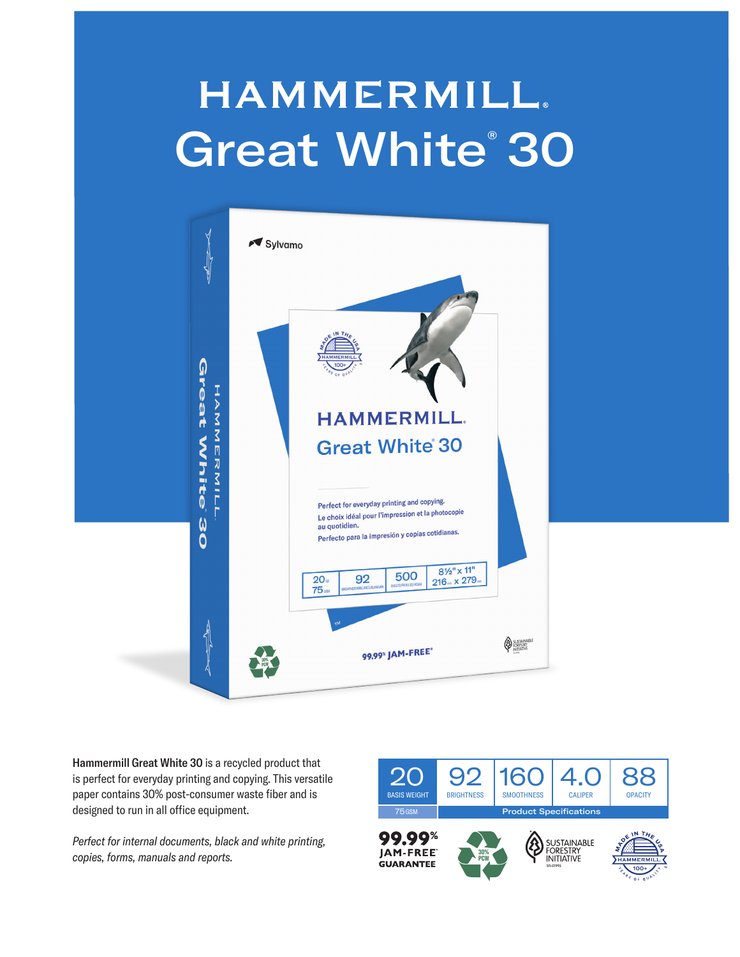## **HAMMERMILL.** Great White® 30



Hammermill Great White 30 is a recycled product that is perfect for everyday printing and copying. This versatile paper contains 30% post-consumer waste fiber and is designed to run in all office equipment.

*Perfect for internal documents, black and white printing, copies, forms, manuals and reports.*